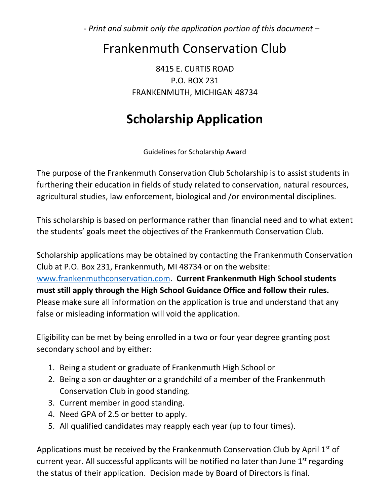- *Print and submit only the application portion of this document* –

## Frankenmuth Conservation Club

8415 E. CURTIS ROAD P.O. BOX 231 FRANKENMUTH, MICHIGAN 48734

## **Scholarship Application**

Guidelines for Scholarship Award

The purpose of the Frankenmuth Conservation Club Scholarship is to assist students in furthering their education in fields of study related to conservation, natural resources, agricultural studies, law enforcement, biological and /or environmental disciplines.

This scholarship is based on performance rather than financial need and to what extent the students' goals meet the objectives of the Frankenmuth Conservation Club.

Scholarship applications may be obtained by contacting the Frankenmuth Conservation Club at P.O. Box 231, Frankenmuth, MI 48734 or on the website: [www.frankenmuthconservation.com.](http://www.frankenmuthconservation.com/) **Current Frankenmuth High School students must still apply through the High School Guidance Office and follow their rules.** Please make sure all information on the application is true and understand that any false or misleading information will void the application.

Eligibility can be met by being enrolled in a two or four year degree granting post secondary school and by either:

- 1. Being a student or graduate of Frankenmuth High School or
- 2. Being a son or daughter or a grandchild of a member of the Frankenmuth Conservation Club in good standing.
- 3. Current member in good standing.
- 4. Need GPA of 2.5 or better to apply.
- 5. All qualified candidates may reapply each year (up to four times).

Applications must be received by the Frankenmuth Conservation Club by April  $1<sup>st</sup>$  of current year. All successful applicants will be notified no later than June  $1<sup>st</sup>$  regarding the status of their application. Decision made by Board of Directors is final.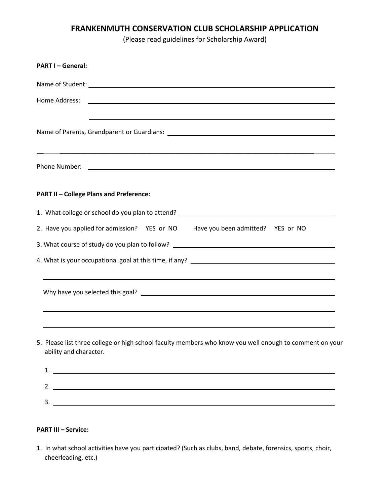## **FRANKENMUTH CONSERVATION CLUB SCHOLARSHIP APPLICATION**

(Please read guidelines for Scholarship Award)

| <b>PART I-General:</b>                                                                                                                                                                                                                                                              |  |  |  |  |
|-------------------------------------------------------------------------------------------------------------------------------------------------------------------------------------------------------------------------------------------------------------------------------------|--|--|--|--|
|                                                                                                                                                                                                                                                                                     |  |  |  |  |
| Home Address:<br><u> 1999 - Johann Harry Harry Harry Harry Harry Harry Harry Harry Harry Harry Harry Harry Harry Harry Harry Harry Harry Harry Harry Harry Harry Harry Harry Harry Harry Harry Harry Harry Harry Harry Harry Harry Harry Harry Ha</u>                               |  |  |  |  |
|                                                                                                                                                                                                                                                                                     |  |  |  |  |
| Phone Number: <u>New York: New York: New York: New York: New York: New York: New York: New York: New York: New York: New York: New York: New York: New York: New York: New York: New York: New York: New York: New York: New Yor</u>                                                |  |  |  |  |
| <b>PART II - College Plans and Preference:</b>                                                                                                                                                                                                                                      |  |  |  |  |
|                                                                                                                                                                                                                                                                                     |  |  |  |  |
| 2. Have you applied for admission? YES or NO Have you been admitted? YES or NO                                                                                                                                                                                                      |  |  |  |  |
| 3. What course of study do you plan to follow? __________________________________                                                                                                                                                                                                   |  |  |  |  |
|                                                                                                                                                                                                                                                                                     |  |  |  |  |
| ,我们也不会有什么。""我们的人,我们也不会有什么?""我们的人,我们也不会有什么?""我们的人,我们也不会有什么?""我们的人,我们也不会有什么?""我们的人                                                                                                                                                                                                    |  |  |  |  |
| ,我们也不会有什么。""我们的人,我们也不会有什么?""我们的人,我们也不会有什么?""我们的人,我们也不会有什么?""我们的人,我们也不会有什么?""我们的人<br>5. Please list three college or high school faculty members who know you well enough to comment on your<br>ability and character.<br>1. $\overline{\phantom{a}}$<br>2. $\overline{\phantom{a}}$ |  |  |  |  |
|                                                                                                                                                                                                                                                                                     |  |  |  |  |

## **PART III – Service:**

1. In what school activities have you participated? (Such as clubs, band, debate, forensics, sports, choir, cheerleading, etc.)